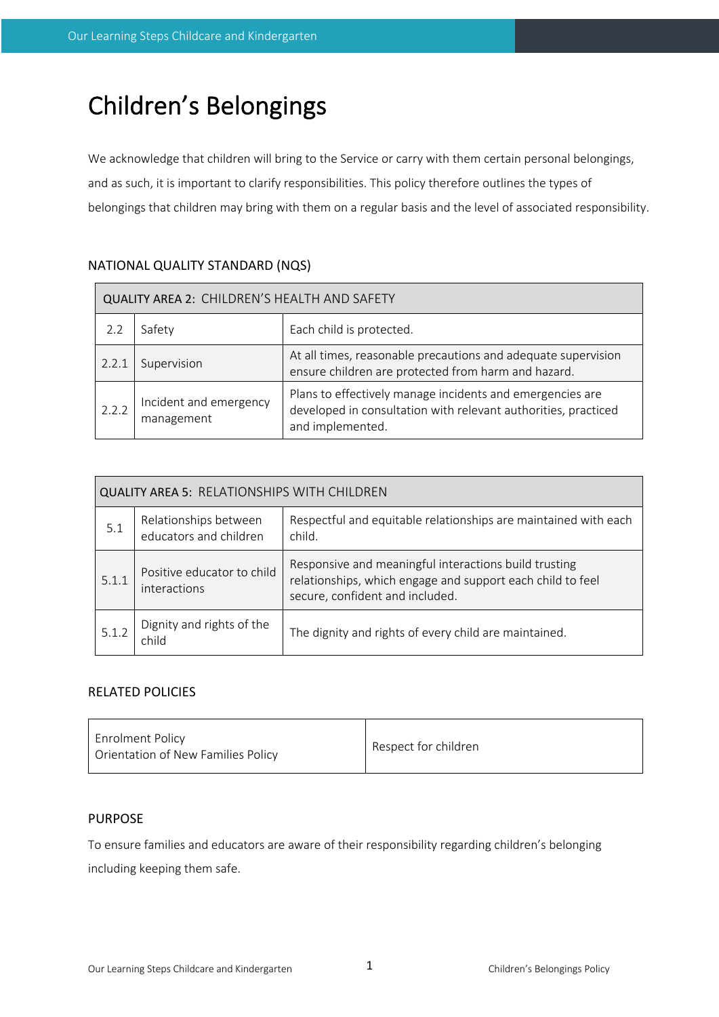# Children's Belongings

We acknowledge that children will bring to the Service or carry with them certain personal belongings, and as such, it is important to clarify responsibilities. This policy therefore outlines the types of belongings that children may bring with them on a regular basis and the level of associated responsibility.

## NATIONAL QUALITY STANDARD (NQS)

| QUALITY AREA 2: CHILDREN'S HEALTH AND SAFETY |                                                                                                                                                                                         |                                                                                                                      |  |  |  |
|----------------------------------------------|-----------------------------------------------------------------------------------------------------------------------------------------------------------------------------------------|----------------------------------------------------------------------------------------------------------------------|--|--|--|
|                                              | Safety                                                                                                                                                                                  | Each child is protected.                                                                                             |  |  |  |
| 2.2.1                                        | Supervision                                                                                                                                                                             | At all times, reasonable precautions and adequate supervision<br>ensure children are protected from harm and hazard. |  |  |  |
| 2.2.2                                        | Plans to effectively manage incidents and emergencies are<br>Incident and emergency<br>developed in consultation with relevant authorities, practiced<br>management<br>and implemented. |                                                                                                                      |  |  |  |

| <b>QUALITY AREA 5: RELATIONSHIPS WITH CHILDREN</b> |                                                 |                                                                                                                                                        |  |  |  |
|----------------------------------------------------|-------------------------------------------------|--------------------------------------------------------------------------------------------------------------------------------------------------------|--|--|--|
| 5.1                                                | Relationships between<br>educators and children | Respectful and equitable relationships are maintained with each<br>child.                                                                              |  |  |  |
| 5.1.1                                              | Positive educator to child<br>interactions      | Responsive and meaningful interactions build trusting<br>relationships, which engage and support each child to feel<br>secure, confident and included. |  |  |  |
| 5.1.2                                              | Dignity and rights of the<br>child              | The dignity and rights of every child are maintained.                                                                                                  |  |  |  |

## RELATED POLICIES

| <b>Enrolment Policy</b><br>Orientation of New Families Policy | Respect for children |
|---------------------------------------------------------------|----------------------|
|---------------------------------------------------------------|----------------------|

## PURPOSE

To ensure families and educators are aware of their responsibility regarding children's belonging including keeping them safe.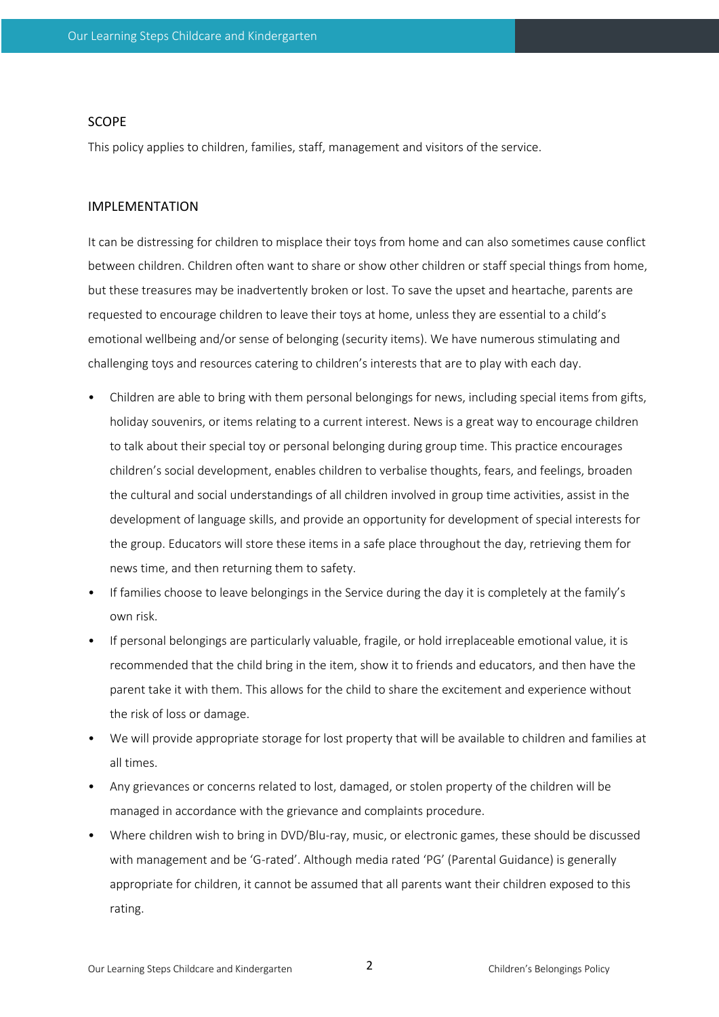#### SCOPE

This policy applies to children, families, staff, management and visitors of the service.

#### IMPLEMENTATION

It can be distressing for children to misplace their toys from home and can also sometimes cause conflict between children. Children often want to share or show other children or staff special things from home, but these treasures may be inadvertently broken or lost. To save the upset and heartache, parents are requested to encourage children to leave their toys at home, unless they are essential to a child's emotional wellbeing and/or sense of belonging (security items). We have numerous stimulating and challenging toys and resources catering to children's interests that are to play with each day.

- Children are able to bring with them personal belongings for news, including special items from gifts, holiday souvenirs, or items relating to a current interest. News is a great way to encourage children to talk about their special toy or personal belonging during group time. This practice encourages children's social development, enables children to verbalise thoughts, fears, and feelings, broaden the cultural and social understandings of all children involved in group time activities, assist in the development of language skills, and provide an opportunity for development of special interests for the group. Educators will store these items in a safe place throughout the day, retrieving them for news time, and then returning them to safety.
- If families choose to leave belongings in the Service during the day it is completely at the family's own risk.
- If personal belongings are particularly valuable, fragile, or hold irreplaceable emotional value, it is recommended that the child bring in the item, show it to friends and educators, and then have the parent take it with them. This allows for the child to share the excitement and experience without the risk of loss or damage.
- We will provide appropriate storage for lost property that will be available to children and families at all times.
- Any grievances or concerns related to lost, damaged, or stolen property of the children will be managed in accordance with the grievance and complaints procedure.
- Where children wish to bring in DVD/Blu-ray, music, or electronic games, these should be discussed with management and be 'G-rated'. Although media rated 'PG' (Parental Guidance) is generally appropriate for children, it cannot be assumed that all parents want their children exposed to this rating.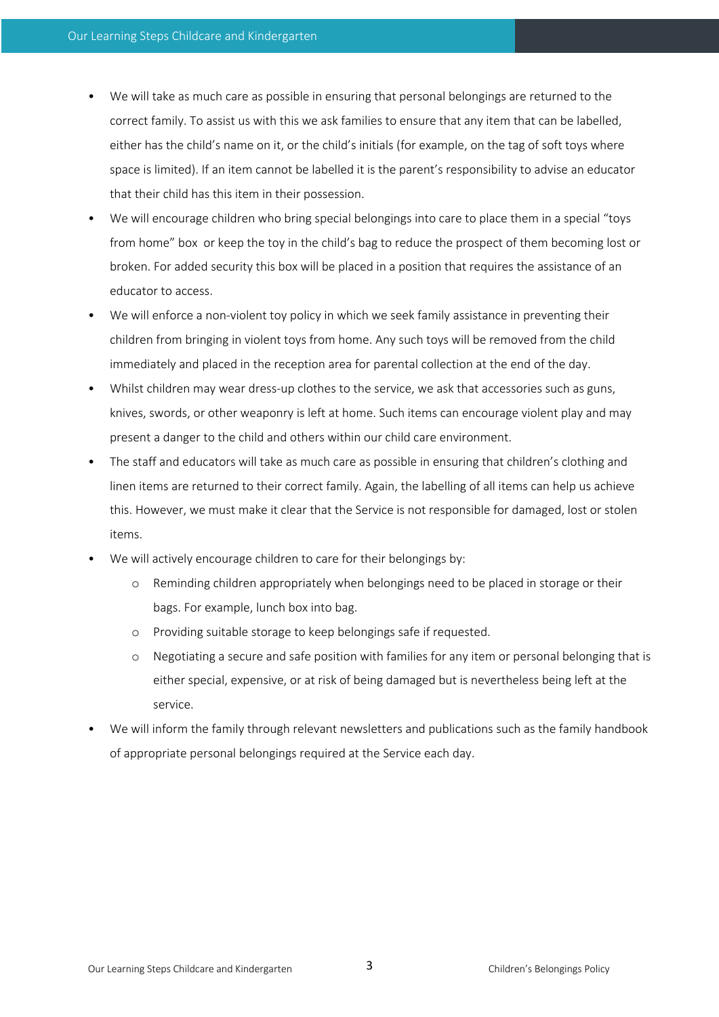- We will take as much care as possible in ensuring that personal belongings are returned to the correct family. To assist us with this we ask families to ensure that any item that can be labelled, either has the child's name on it, or the child's initials (for example, on the tag of soft toys where space is limited). If an item cannot be labelled it is the parent's responsibility to advise an educator that their child has this item in their possession.
- We will encourage children who bring special belongings into care to place them in a special "toys from home" box or keep the toy in the child's bag to reduce the prospect of them becoming lost or broken. For added security this box will be placed in a position that requires the assistance of an educator to access.
- We will enforce a non-violent toy policy in which we seek family assistance in preventing their children from bringing in violent toys from home. Any such toys will be removed from the child immediately and placed in the reception area for parental collection at the end of the day.
- Whilst children may wear dress-up clothes to the service, we ask that accessories such as guns, knives, swords, or other weaponry is left at home. Such items can encourage violent play and may present a danger to the child and others within our child care environment.
- The staff and educators will take as much care as possible in ensuring that children's clothing and linen items are returned to their correct family. Again, the labelling of all items can help us achieve this. However, we must make it clear that the Service is not responsible for damaged, lost or stolen items.
- We will actively encourage children to care for their belongings by:
	- o Reminding children appropriately when belongings need to be placed in storage or their bags. For example, lunch box into bag.
	- o Providing suitable storage to keep belongings safe if requested.
	- o Negotiating a secure and safe position with families for any item or personal belonging that is either special, expensive, or at risk of being damaged but is nevertheless being left at the service.
- We will inform the family through relevant newsletters and publications such as the family handbook of appropriate personal belongings required at the Service each day.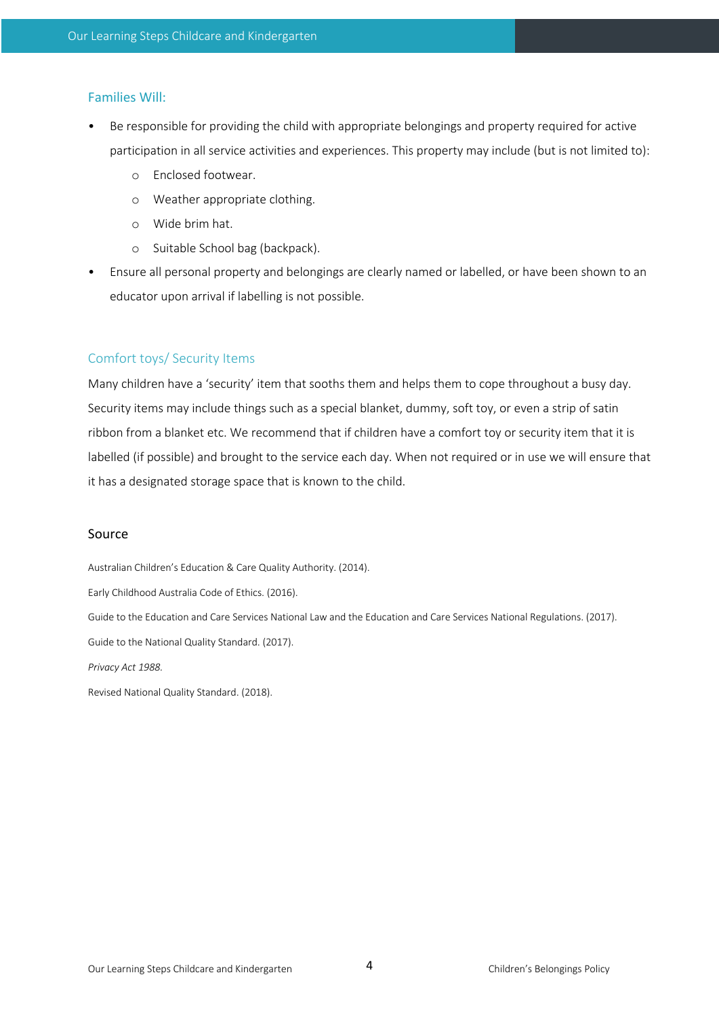## Families Will:

- Be responsible for providing the child with appropriate belongings and property required for active participation in all service activities and experiences. This property may include (but is not limited to):
	- o Enclosed footwear.
	- o Weather appropriate clothing.
	- o Wide brim hat.
	- o Suitable School bag (backpack).
- Ensure all personal property and belongings are clearly named or labelled, or have been shown to an educator upon arrival if labelling is not possible.

## Comfort toys/ Security Items

Many children have a 'security' item that sooths them and helps them to cope throughout a busy day. Security items may include things such as a special blanket, dummy, soft toy, or even a strip of satin ribbon from a blanket etc. We recommend that if children have a comfort toy or security item that it is labelled (if possible) and brought to the service each day. When not required or in use we will ensure that it has a designated storage space that is known to the child.

### Source

Australian Children's Education & Care Quality Authority. (2014).

Early Childhood Australia Code of Ethics. (2016).

Guide to the Education and Care Services National Law and the Education and Care Services National Regulations. (2017). Guide to the National Quality Standard. (2017).

*Privacy Act 1988.* 

Revised National Quality Standard. (2018).